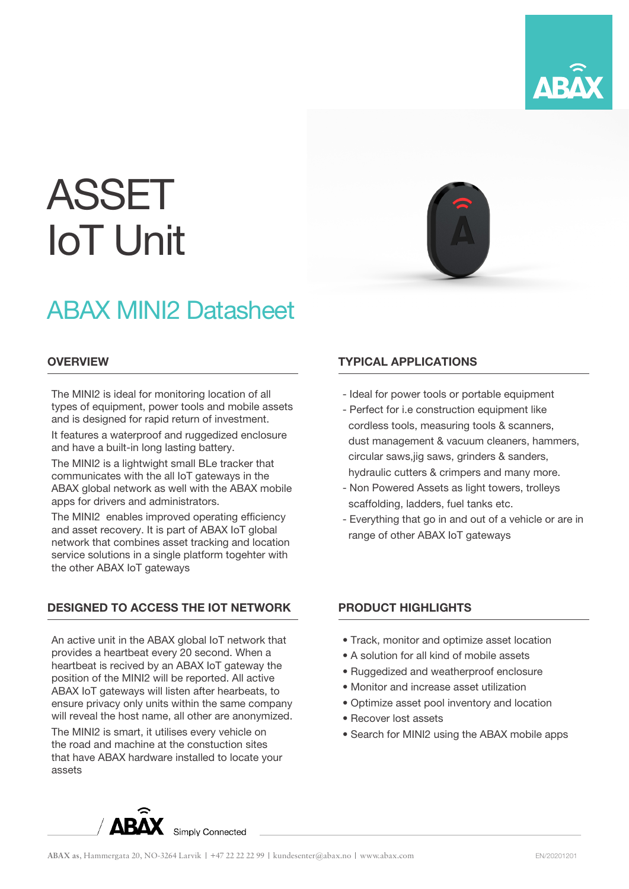

# ASSET IoT Unit

# ABAX MINI2 Datasheet

#### **OVERVIEW**

The MINI2 is ideal for monitoring location of all types of equipment, power tools and mobile assets and is designed for rapid return of investment.

It features a waterproof and ruggedized enclosure and have a built-in long lasting battery.

The MINI2 is a lightwight small BLe tracker that communicates with the all IoT gateways in the ABAX global network as well with the ABAX mobile apps for drivers and administrators.

The MINI2 enables improved operating efficiency and asset recovery. It is part of ABAX IoT global network that combines asset tracking and location service solutions in a single platform togehter with the other ABAX IoT gateways

## DESIGNED TO ACCESS THE IOT NETWORK

An active unit in the ABAX global IoT network that provides a heartbeat every 20 second. When a heartbeat is recived by an ABAX IoT gateway the position of the MINI2 will be reported. All active ABAX IoT gateways will listen after hearbeats, to ensure privacy only units within the same company will reveal the host name, all other are anonymized.

The MINI2 is smart, it utilises every vehicle on the road and machine at the constuction sites that have ABAX hardware installed to locate your assets

## TYPICAL APPLICATIONS

- Ideal for power tools or portable equipment
- Perfect for i.e construction equipment like cordless tools, measuring tools & scanners, dust management & vacuum cleaners, hammers, circular saws, jig saws, grinders & sanders, hydraulic cutters & crimpers and many more.
- Non Powered Assets as light towers, trolleys scaffolding, ladders, fuel tanks etc.
- Everything that go in and out of a vehicle or are in range of other ABAX IoT gateways

## PRODUCT HIGHLIGHTS

- Track, monitor and optimize asset location
- A solution for all kind of mobile assets
- Ruggedized and weatherproof enclosure
- Monitor and increase asset utilization
- Optimize asset pool inventory and location
- Recover lost assets
- Search for MINI2 using the ABAX mobile apps